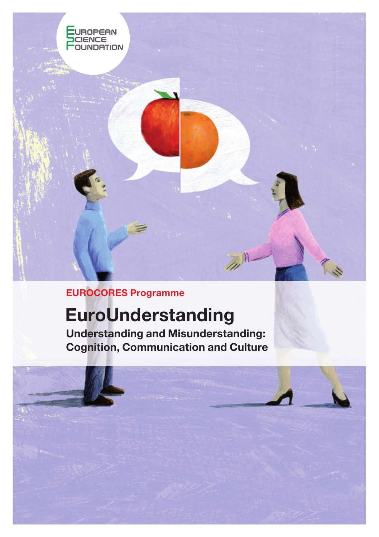

EUROCORES Programme

# EuroUnderstanding

Understanding and Misunderstanding: Cognition, Communication and Culture

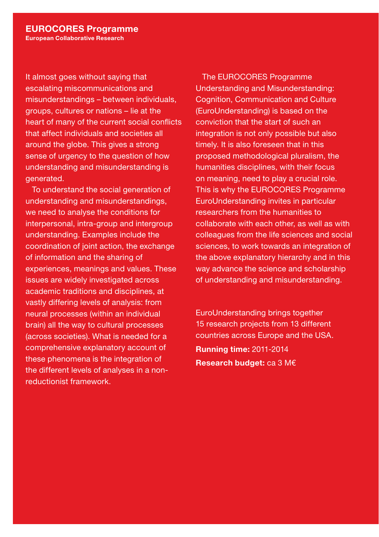It almost goes without saying that escalating miscommunications and misunderstandings – between individuals, groups, cultures or nations – lie at the heart of many of the current social conflicts that affect individuals and societies all around the globe. This gives a strong sense of urgency to the question of how understanding and misunderstanding is generated.

To understand the social generation of understanding and misunderstandings, we need to analyse the conditions for interpersonal, intra-group and intergroup understanding. Examples include the coordination of joint action, the exchange of information and the sharing of experiences, meanings and values. These issues are widely investigated across academic traditions and disciplines, at vastly differing levels of analysis: from neural processes (within an individual brain) all the way to cultural processes (across societies). What is needed for a comprehensive explanatory account of these phenomena is the integration of the different levels of analyses in a nonreductionist framework.

The EUROCORES Programme Understanding and Misunderstanding: Cognition, Communication and Culture (EuroUnderstanding) is based on the conviction that the start of such an integration is not only possible but also timely. It is also foreseen that in this proposed methodological pluralism, the humanities disciplines, with their focus on meaning, need to play a crucial role. This is why the EUROCORES Programme EuroUnderstanding invites in particular researchers from the humanities to collaborate with each other, as well as with colleagues from the life sciences and social sciences, to work towards an integration of the above explanatory hierarchy and in this way advance the science and scholarship of understanding and misunderstanding.

EuroUnderstanding brings together 15 research projects from 13 different countries across Europe and the USA. Running time: 2011-2014 Research budget: ca 3 M€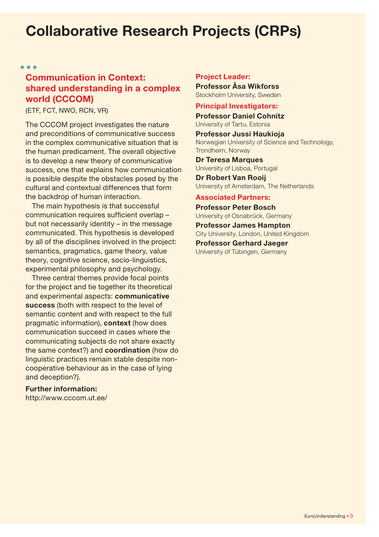## Collaborative Research Projects (CRPs)

 $\sim$   $\sim$   $\sim$ 

### Communication in Context: shared understanding in a complex world (CCCOM)

(ETF, FCT, NWO, RCN, VR)

The CCCOM project investigates the nature and preconditions of communicative success in the complex communicative situation that is the human predicament. The overall objective is to develop a new theory of communicative success, one that explains how communication is possible despite the obstacles posed by the cultural and contextual differences that form the backdrop of human interaction.

The main hypothesis is that successful communication requires sufficient overlap – but not necessarily identity – in the message communicated. This hypothesis is developed by all of the disciplines involved in the project: semantics, pragmatics, game theory, value theory, cognitive science, socio-linguistics, experimental philosophy and psychology.

Three central themes provide focal points for the project and tie together its theoretical and experimental aspects: communicative success (both with respect to the level of semantic content and with respect to the full pragmatic information), context (how does communication succeed in cases where the communicating subjects do not share exactly the same context?) and coordination (how do linguistic practices remain stable despite noncooperative behaviour as in the case of lying and deception?).

#### Further information:

http://www.cccom.ut.ee/

#### Project Leader:

Professor Åsa Wikforss Stockholm University, Sweden

#### Principal Investigators:

Professor Daniel Cohnitz University of Tartu, Estonia

Professor Jussi Haukioja Norwegian University of Science and Technology, Trondheim, Norway

Dr Teresa Marques University of Lisboa, Portugal

Dr Robert Van Rooij University of Amsterdam, The Netherlands

#### Associated Partners:

Professor Peter Bosch University of Osnabrück, Germany

Professor James Hampton City University, London, United Kingdom Professor Gerhard Jaeger

University of Tübingen, Germany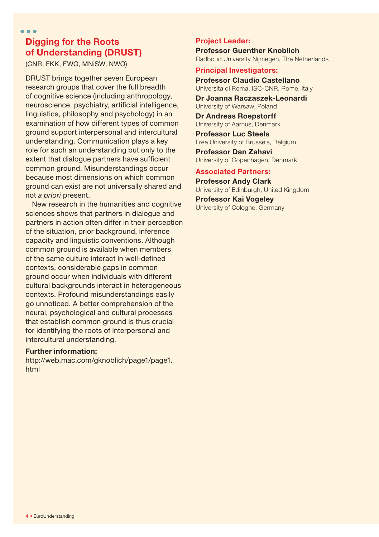### Digging for the Roots of Understanding (DRUST)

(CNR, FKK, FWO, MNiSW, NWO)

 $\sim$   $\sim$   $\sim$ 

DRUST brings together seven European research groups that cover the full breadth of cognitive science (including anthropology, neuroscience, psychiatry, artificial intelligence, linguistics, philosophy and psychology) in an examination of how different types of common ground support interpersonal and intercultural understanding. Communication plays a key role for such an understanding but only to the extent that dialogue partners have sufficient common ground. Misunderstandings occur because most dimensions on which common ground can exist are not universally shared and not *a priori* present.

New research in the humanities and cognitive sciences shows that partners in dialogue and partners in action often differ in their perception of the situation, prior background, inference capacity and linguistic conventions. Although common ground is available when members of the same culture interact in well-defined contexts, considerable gaps in common ground occur when individuals with different cultural backgrounds interact in heterogeneous contexts. Profound misunderstandings easily go unnoticed. A better comprehension of the neural, psychological and cultural processes that establish common ground is thus crucial for identifying the roots of interpersonal and intercultural understanding.

#### Further information:

http://web.mac.com/gknoblich/page1/page1. html

#### Project Leader:

Professor Guenther Knoblich Radboud University Nijmegen, The Netherlands

#### Principal Investigators:

Professor Claudio Castellano Universita di Roma, ISC-CNR, Rome, Italy

Dr Joanna Raczaszek-Leonardi University of Warsaw, Poland

Dr Andreas Roepstorff University of Aarhus, Denmark

Professor Luc Steels Free University of Brussels, Belgium Professor Dan Zahavi

University of Copenhagen, Denmark

#### Associated Partners:

Professor Andy Clark University of Edinburgh, United Kingdom

Professor Kai Vogeley University of Cologne, Germany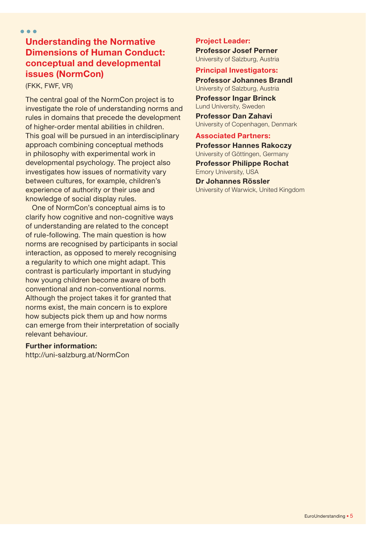#### Understanding the Normative Dimensions of Human Conduct: conceptual and developmental issues (NormCon)

(FKK, FWF, VR)

The central goal of the NormCon project is to investigate the role of understanding norms and rules in domains that precede the development of higher-order mental abilities in children. This goal will be pursued in an interdisciplinary approach combining conceptual methods in philosophy with experimental work in developmental psychology. The project also investigates how issues of normativity vary between cultures, for example, children's experience of authority or their use and knowledge of social display rules.

One of NormCon's conceptual aims is to clarify how cognitive and non-cognitive ways of understanding are related to the concept of rule-following. The main question is how norms are recognised by participants in social interaction, as opposed to merely recognising a regularity to which one might adapt. This contrast is particularly important in studying how young children become aware of both conventional and non-conventional norms. Although the project takes it for granted that norms exist, the main concern is to explore how subjects pick them up and how norms can emerge from their interpretation of socially relevant behaviour.

#### Further information:

http://uni-salzburg.at/NormCon

#### Project Leader:

Professor Josef Perner University of Salzburg, Austria

#### Principal Investigators:

Professor Johannes Brandl University of Salzburg, Austria

Professor Ingar Brinck Lund University, Sweden Professor Dan Zahavi

University of Copenhagen, Denmark

#### Associated Partners:

Professor Hannes Rakoczy University of Göttingen, Germany Professor Philippe Rochat Emory University, USA

Dr Johannes Rössler University of Warwick, United Kingdom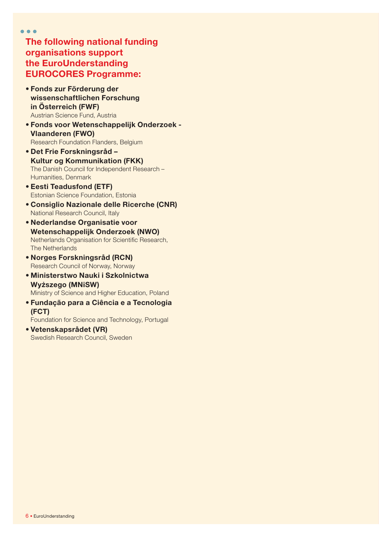$\bullet$   $\bullet$   $\bullet$ 

The following national funding organisations support the EuroUnderstanding EUROCORES Programme:

- • Fonds zur Förderung der wissenschaftlichen Forschung in Österreich (FWF) Austrian Science Fund, Austria
- • Fonds voor Wetenschappelijk Onderzoek Vlaanderen (FWO) Research Foundation Flanders, Belgium
- • Det Frie Forskningsråd Kultur og Kommunikation (FKK) The Danish Council for Independent Research – Humanities, Denmark
- • Eesti Teadusfond (ETF) Estonian Science Foundation, Estonia
- • Consiglio Nazionale delle Ricerche (CNR) National Research Council, Italy
- • Nederlandse Organisatie voor Wetenschappelijk Onderzoek (NWO) Netherlands Organisation for Scientific Research, The Netherlands
- • Norges Forskningsråd (RCN) Research Council of Norway, Norway
- • Ministerstwo Nauki i Szkolnictwa Wy**ż**szego (MNiSW) Ministry of Science and Higher Education, Poland
- • Fundação para a Ciência e a Tecnologia (FCT)

Foundation for Science and Technology, Portugal

• Vetenskapsrådet (VR) Swedish Research Council, Sweden